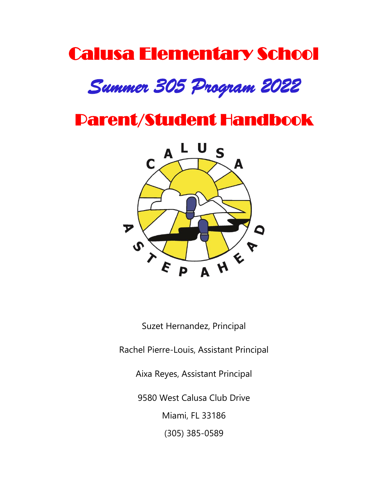# Calusa Elementary School *Summer 305 Program 2022*

# Parent/Student Handbook



Suzet Hernandez, Principal

Rachel Pierre-Louis, Assistant Principal

Aixa Reyes, Assistant Principal

9580 West Calusa Club Drive

Miami, FL 33186

(305) 385-0589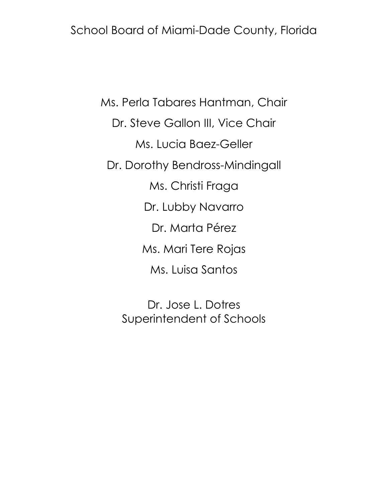School Board of Miami-Dade County, Florida

Ms. Perla Tabares Hantman, Chair Dr. Steve Gallon III, Vice Chair Ms. Lucia Baez-Geller Dr. Dorothy Bendross-Mindingall Ms. Christi Fraga Dr. Lubby Navarro Dr. Marta Pérez Ms. Mari Tere Rojas Ms. Luisa Santos

> Dr. Jose L. Dotres Superintendent of Schools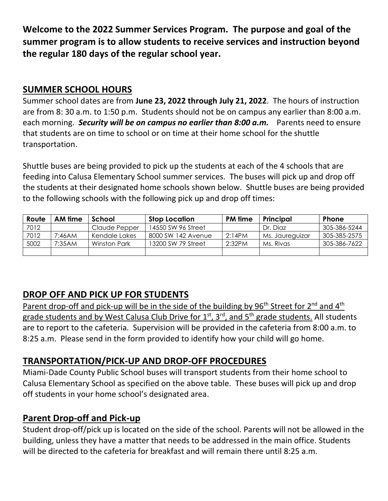**Welcome to the 2022 Summer Services Program. The purpose and goal of the summer program is to allow students to receive services and instruction beyond the regular 180 days of the regular school year.**

# **SUMMER SCHOOL HOURS**

Summer school dates are from **June 23, 2022 through July 21, 2022**. The hours of instruction are from 8: 30 a.m. to 1:50 p.m.Students should not be on campus any earlier than 8:00 a.m. each morning. *Security will be on campus no earlier than 8:00 a.m.* Parents need to ensure that students are on time to school or on time at their home school for the shuttle transportation.

Shuttle buses are being provided to pick up the students at each of the 4 schools that are feeding into Calusa Elementary School summer services. The buses will pick up and drop off the students at their designated home schools shown below. Shuttle buses are being provided to the following schools with the following pick up and drop off times:

| Route | AM time | School        | <b>Stop Location</b> | <b>PM</b> time | Principal       | <b>Phone</b> |
|-------|---------|---------------|----------------------|----------------|-----------------|--------------|
| 7012  |         | Claude Pepper | 14550 SW 96 Street   |                | Dr. Diaz        | 305-386-5244 |
| 7012  | 7:46AM  | Kendale Lakes | 8000 SW 142 Avenue   | 2:14PM         | Ms. Jaureguizar | 305-385-2575 |
| 5002  | 7:35AM  | Winston Park  | 13200 SW 79 Street   | 2:32PM         | Ms. Rivas       | 305-386-7622 |
|       |         |               |                      |                |                 |              |

# **DROP OFF AND PICK UP FOR STUDENTS**

Parent drop-off and pick-up will be in the side of the building by 96<sup>th</sup> Street for 2<sup>nd</sup> and 4<sup>th</sup> grade students and by West Calusa Club Drive for 1<sup>st</sup>, 3<sup>rd</sup>, and 5<sup>th</sup> grade students. All students are to report to the cafeteria. Supervision will be provided in the cafeteria from 8:00 a.m. to 8:25 a.m. Please send in the form provided to identify how your child will go home.

#### **TRANSPORTATION/PICK-UP AND DROP-OFF PROCEDURES**

Miami-Dade County Public School buses will transport students from their home school to Calusa Elementary School as specified on the above table. These buses will pick up and drop off students in your home school's designated area.

#### **Parent Drop-off and Pick-up**

Student drop-off/pick up is located on the side of the school. Parents will not be allowed in the building, unless they have a matter that needs to be addressed in the main office. Students will be directed to the cafeteria for breakfast and will remain there until 8:25 a.m.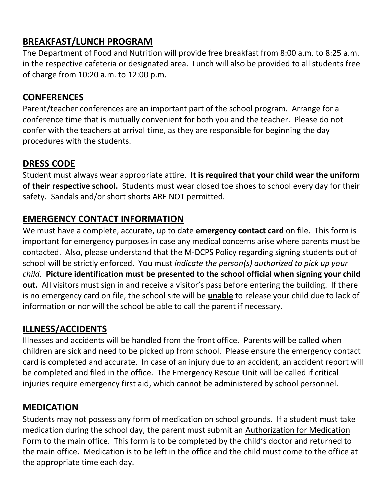# **BREAKFAST/LUNCH PROGRAM**

The Department of Food and Nutrition will provide free breakfast from 8:00 a.m. to 8:25 a.m. in the respective cafeteria or designated area. Lunch will also be provided to all students free of charge from 10:20 a.m. to 12:00 p.m.

# **CONFERENCES**

Parent/teacher conferences are an important part of the school program. Arrange for a conference time that is mutually convenient for both you and the teacher. Please do not confer with the teachers at arrival time, as they are responsible for beginning the day procedures with the students.

# **DRESS CODE**

Student must always wear appropriate attire. **It is required that your child wear the uniform of their respective school.** Students must wear closed toe shoes to school every day for their safety. Sandals and/or short shorts ARE NOT permitted.

# **EMERGENCY CONTACT INFORMATION**

We must have a complete, accurate, up to date **emergency contact card** on file. This form is important for emergency purposes in case any medical concerns arise where parents must be contacted. Also, please understand that the M-DCPS Policy regarding signing students out of school will be strictly enforced. You must *indicate the person(s) authorized to pick up your child.* **Picture identification must be presented to the school official when signing your child out.** All visitors must sign in and receive a visitor's pass before entering the building. If there is no emergency card on file, the school site will be **unable** to release your child due to lack of information or nor will the school be able to call the parent if necessary.

# **ILLNESS/ACCIDENTS**

Illnesses and accidents will be handled from the front office. Parents will be called when children are sick and need to be picked up from school. Please ensure the emergency contact card is completed and accurate. In case of an injury due to an accident, an accident report will be completed and filed in the office. The Emergency Rescue Unit will be called if critical injuries require emergency first aid, which cannot be administered by school personnel.

#### **MEDICATION**

Students may not possess any form of medication on school grounds. If a student must take medication during the school day, the parent must submit an Authorization for Medication Form to the main office. This form is to be completed by the child's doctor and returned to the main office. Medication is to be left in the office and the child must come to the office at the appropriate time each day.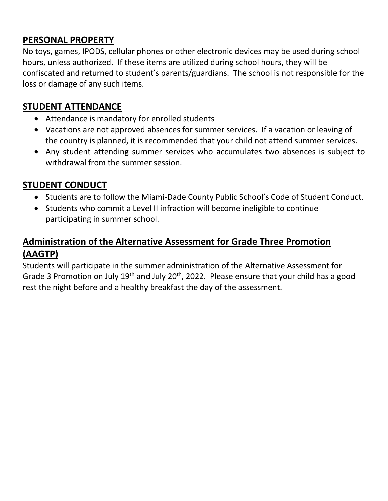#### **PERSONAL PROPERTY**

No toys, games, IPODS, cellular phones or other electronic devices may be used during school hours, unless authorized. If these items are utilized during school hours, they will be confiscated and returned to student's parents/guardians. The school is not responsible for the loss or damage of any such items.

# **STUDENT ATTENDANCE**

- Attendance is mandatory for enrolled students
- Vacations are not approved absences for summer services. If a vacation or leaving of the country is planned, it is recommended that your child not attend summer services.
- Any student attending summer services who accumulates two absences is subject to withdrawal from the summer session.

# **STUDENT CONDUCT**

- Students are to follow the Miami-Dade County Public School's Code of Student Conduct.
- Students who commit a Level II infraction will become ineligible to continue participating in summer school.

# **Administration of the Alternative Assessment for Grade Three Promotion (AAGTP)**

Students will participate in the summer administration of the Alternative Assessment for Grade 3 Promotion on July 19<sup>th</sup> and July 20<sup>th</sup>, 2022. Please ensure that your child has a good rest the night before and a healthy breakfast the day of the assessment.